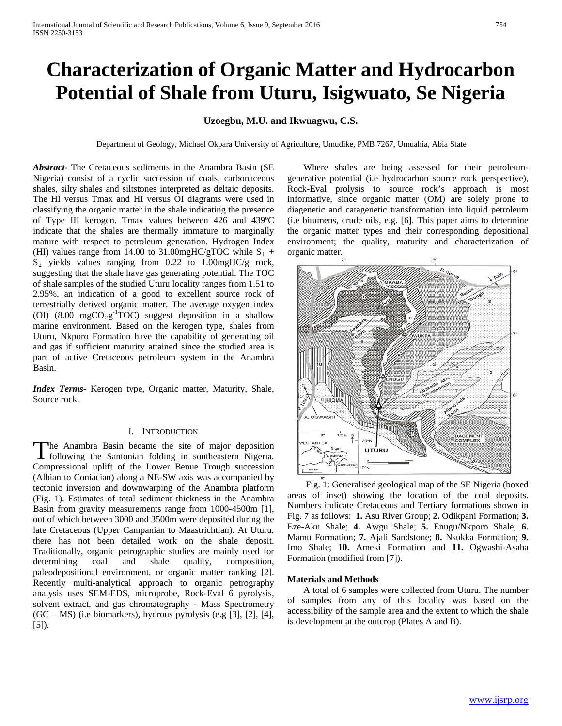# **Characterization of Organic Matter and Hydrocarbon Potential of Shale from Uturu, Isigwuato, Se Nigeria**

## **Uzoegbu, M.U. and Ikwuagwu, C.S.**

Department of Geology, Michael Okpara University of Agriculture, Umudike, PMB 7267, Umuahia, Abia State

*Abstract***-** The Cretaceous sediments in the Anambra Basin (SE Nigeria) consist of a cyclic succession of coals, carbonaceous shales, silty shales and siltstones interpreted as deltaic deposits. The HI versus Tmax and HI versus OI diagrams were used in classifying the organic matter in the shale indicating the presence of Type III kerogen. Tmax values between 426 and 439ºC indicate that the shales are thermally immature to marginally mature with respect to petroleum generation. Hydrogen Index (HI) values range from 14.00 to 31.00mgHC/gTOC while  $S_1$  +  $S_2$  yields values ranging from 0.22 to 1.00mgHC/g rock, suggesting that the shale have gas generating potential. The TOC of shale samples of the studied Uturu locality ranges from 1.51 to 2.95%, an indication of a good to excellent source rock of terrestrially derived organic matter. The average oxygen index (OI)  $(8.00 \text{ mgCO}_2 \text{g}^{-1} \text{TOC})$  suggest deposition in a shallow marine environment. Based on the kerogen type, shales from Uturu, Nkporo Formation have the capability of generating oil and gas if sufficient maturity attained since the studied area is part of active Cretaceous petroleum system in the Anambra Basin.

*Index Terms*- Kerogen type, Organic matter, Maturity, Shale, Source rock.

#### I. INTRODUCTION

he Anambra Basin became the site of major deposition The Anambra Basin became the site of major deposition<br>following the Santonian folding in southeastern Nigeria. Compressional uplift of the Lower Benue Trough succession (Albian to Coniacian) along a NE-SW axis was accompanied by tectonic inversion and downwarping of the Anambra platform (Fig. 1). Estimates of total sediment thickness in the Anambra Basin from gravity measurements range from 1000-4500m [1], out of which between 3000 and 3500m were deposited during the late Cretaceous (Upper Campanian to Maastrichtian). At Uturu, there has not been detailed work on the shale deposit. Traditionally, organic petrographic studies are mainly used for determining coal and shale quality, composition, paleodepositional environment, or organic matter ranking [2]. Recently multi-analytical approach to organic petrography analysis uses SEM-EDS, microprobe, Rock-Eval 6 pyrolysis, solvent extract, and gas chromatography - Mass Spectrometry (GC – MS) (i.e biomarkers), hydrous pyrolysis (e.g [3], [2], [4], [5]).

 Where shales are being assessed for their petroleumgenerative potential (i.e hydrocarbon source rock perspective), Rock-Eval prolysis to source rock's approach is most informative, since organic matter (OM) are solely prone to diagenetic and catagenetic transformation into liquid petroleum (i.e bitumens, crude oils, e.g. [6]. This paper aims to determine the organic matter types and their corresponding depositional environment; the quality, maturity and characterization of organic matter.



 Fig. 1: Generalised geological map of the SE Nigeria (boxed areas of inset) showing the location of the coal deposits. Numbers indicate Cretaceous and Tertiary formations shown in Fig. 7 as **f**ollows: **1.** Asu River Group; **2.** Odikpani Formation; **3.** Eze-Aku Shale; **4.** Awgu Shale; **5.** Enugu/Nkporo Shale; **6.** Mamu Formation; **7.** Ajali Sandstone; **8.** Nsukka Formation; **9.** Imo Shale; **10.** Ameki Formation and **11.** Ogwashi-Asaba Formation (modified from [7]).

## **Materials and Methods**

 A total of 6 samples were collected from Uturu. The number of samples from any of this locality was based on the accessibility of the sample area and the extent to which the shale is development at the outcrop (Plates A and B).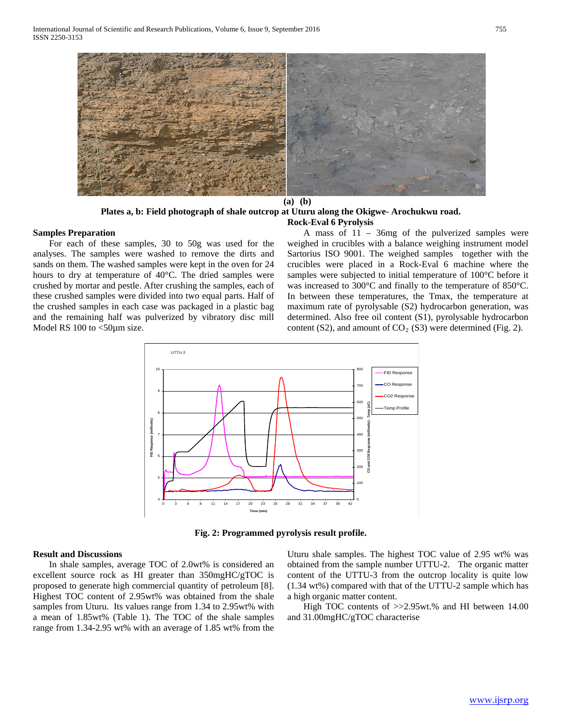

**(a) (b)**

## **Plates a, b: Field photograph of shale outcrop at Uturu along the Okigwe- Arochukwu road. Rock-Eval 6 Pyrolysis**

### **Samples Preparation**

 For each of these samples, 30 to 50g was used for the analyses. The samples were washed to remove the dirts and sands on them. The washed samples were kept in the oven for 24 hours to dry at temperature of 40°C. The dried samples were crushed by mortar and pestle. After crushing the samples, each of these crushed samples were divided into two equal parts. Half of the crushed samples in each case was packaged in a plastic bag and the remaining half was pulverized by vibratory disc mill Model RS 100 to <50 $\mu$ m size.

 A mass of 11 – 36mg of the pulverized samples were weighed in crucibles with a balance weighing instrument model Sartorius ISO 9001. The weighed samples together with the crucibles were placed in a Rock-Eval 6 machine where the samples were subjected to initial temperature of 100°C before it was increased to 300°C and finally to the temperature of 850°C. In between these temperatures, the Tmax, the temperature at maximum rate of pyrolysable (S2) hydrocarbon generation, was determined. Also free oil content (S1), pyrolysable hydrocarbon content (S2), and amount of  $CO<sub>2</sub>$  (S3) were determined (Fig. 2).



**Fig. 2: Programmed pyrolysis result profile.**

#### **Result and Discussions**

 In shale samples, average TOC of 2.0wt% is considered an excellent source rock as HI greater than 350mgHC/gTOC is proposed to generate high commercial quantity of petroleum [8]. Highest TOC content of 2.95wt% was obtained from the shale samples from Uturu. Its values range from 1.34 to 2.95wt% with a mean of 1.85wt% (Table 1). The TOC of the shale samples range from 1.34-2.95 wt% with an average of 1.85 wt% from the

Uturu shale samples. The highest TOC value of 2.95 wt% was obtained from the sample number UTTU-2. The organic matter content of the UTTU-3 from the outcrop locality is quite low (1.34 wt%) compared with that of the UTTU-2 sample which has a high organic matter content.

 High TOC contents of >>2.95wt.% and HI between 14.00 and 31.00mgHC/gTOC characterise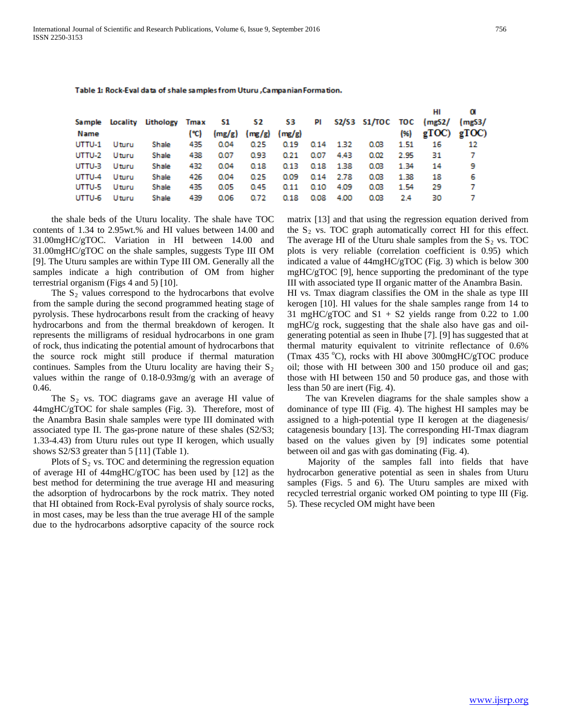| Name   |       | Sample Locality Lithology Tmax 51 52 53 | (°C) |      | $(mg/g)$ $(mg/g)$ $(mg/g)$ |      |      |           |      |      | PI S2/S3 S1/TOC TOC (mgS2/ (mgS3/<br>$(96)$ gTOC) gTOC) |     |
|--------|-------|-----------------------------------------|------|------|----------------------------|------|------|-----------|------|------|---------------------------------------------------------|-----|
| UTTU-1 | Uturu | Shale                                   | 435  | 0.04 | 0.25                       | 0.19 |      | 0.14 1.32 | 0.03 | 1.51 | 16                                                      | 12  |
| UTTU-2 | Uturu | Shale                                   | 438  | 0.07 | 0.93                       | 0.21 | 0.07 | 4.43      | 0.02 | 2.95 | 31                                                      | - 7 |
| UTTU-3 | Uturu | Shale                                   | 432  | 0.04 | 0.18                       | 0.13 | 0.18 | -1.38     | 0.03 | 1.34 | 14                                                      | 9   |
| UTTU-4 | Uturu | Shale                                   | 426  | 0.04 | 0.25                       | 0.09 | 0.14 | - 2.78    | 0.03 | 1.38 | 18                                                      | 6   |
| UTTU-5 | Uturu | Shale                                   | 435  | 0.05 | 0.45                       | 0.11 | 0.10 | 4.09      | 0.03 | 1.54 | -29                                                     | 7   |
| UTTU-6 | Uturu | Shale                                   | 439  | 0.06 | 0.72                       | 0.18 | 0.08 | 4.00      | 0.03 | 2.4  | 30                                                      | 7   |

Table 1: Rock-Eval data of shale samples from Uturu , Campanian Formation.

 the shale beds of the Uturu locality. The shale have TOC contents of 1.34 to 2.95wt.% and HI values between 14.00 and 31.00mgHC/gTOC. Variation in HI between 14.00 and 31.00mgHC/gTOC on the shale samples, suggests Type III OM [9]. The Uturu samples are within Type III OM. Generally all the samples indicate a high contribution of OM from higher terrestrial organism (Figs 4 and 5) [10].

The  $S_2$  values correspond to the hydrocarbons that evolve from the sample during the second programmed heating stage of pyrolysis. These hydrocarbons result from the cracking of heavy hydrocarbons and from the thermal breakdown of kerogen. It represents the milligrams of residual hydrocarbons in one gram of rock, thus indicating the potential amount of hydrocarbons that the source rock might still produce if thermal maturation continues. Samples from the Uturu locality are having their  $S_2$ values within the range of 0.18-0.93mg/g with an average of 0.46.

The  $S_2$  vs. TOC diagrams gave an average HI value of 44mgHC/gTOC for shale samples (Fig. 3). Therefore, most of the Anambra Basin shale samples were type III dominated with associated type II. The gas-prone nature of these shales (S2/S3; 1.33-4.43) from Uturu rules out type II kerogen, which usually shows S2/S3 greater than 5 [11] (Table 1).

Plots of  $S_2$  vs. TOC and determining the regression equation of average HI of 44mgHC/gTOC has been used by [12] as the best method for determining the true average HI and measuring the adsorption of hydrocarbons by the rock matrix. They noted that HI obtained from Rock-Eval pyrolysis of shaly source rocks, in most cases, may be less than the true average HI of the sample due to the hydrocarbons adsorptive capacity of the source rock matrix [13] and that using the regression equation derived from the  $S_2$  vs. TOC graph automatically correct HI for this effect. The average HI of the Uturu shale samples from the  $S_2$  vs. TOC plots is very reliable (correlation coefficient is 0.95) which indicated a value of 44mgHC/gTOC (Fig. 3) which is below 300 mgHC/gTOC [9], hence supporting the predominant of the type III with associated type II organic matter of the Anambra Basin.

HI vs. Tmax diagram classifies the OM in the shale as type III kerogen [10]. HI values for the shale samples range from 14 to 31 mgHC/gTOC and  $S1 + S2$  yields range from 0.22 to 1.00 mgHC/g rock, suggesting that the shale also have gas and oilgenerating potential as seen in Ihube [7]. [9] has suggested that at thermal maturity equivalent to vitrinite reflectance of 0.6% (Tmax 435 °C), rocks with HI above 300mgHC/gTOC produce oil; those with HI between 300 and 150 produce oil and gas; those with HI between 150 and 50 produce gas, and those with less than 50 are inert (Fig. 4).

 The van Krevelen diagrams for the shale samples show a dominance of type III (Fig. 4). The highest HI samples may be assigned to a high-potential type II kerogen at the diagenesis/ catagenesis boundary [13]. The corresponding HI-Tmax diagram based on the values given by [9] indicates some potential between oil and gas with gas dominating (Fig. 4).

 Majority of the samples fall into fields that have hydrocarbon generative potential as seen in shales from Uturu samples (Figs. 5 and 6). The Uturu samples are mixed with recycled terrestrial organic worked OM pointing to type III (Fig. 5). These recycled OM might have been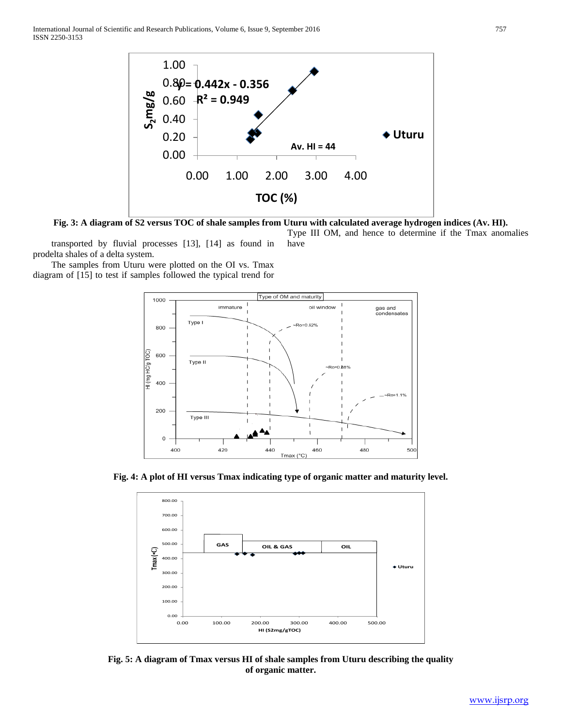International Journal of Scientific and Research Publications, Volume 6, Issue 9, September 2016 757 ISSN 2250-3153



**Fig. 3: A diagram of S2 versus TOC of shale samples from Uturu with calculated average hydrogen indices (Av. HI).** Type III OM, and hence to determine if the Tmax anomalies

 transported by fluvial processes [13], [14] as found in prodelta shales of a delta system. have

 The samples from Uturu were plotted on the OI vs. Tmax diagram of [15] to test if samples followed the typical trend for



**Fig. 4: A plot of HI versus Tmax indicating type of organic matter and maturity level.**



**Fig. 5: A diagram of Tmax versus HI of shale samples from Uturu describing the quality of organic matter.**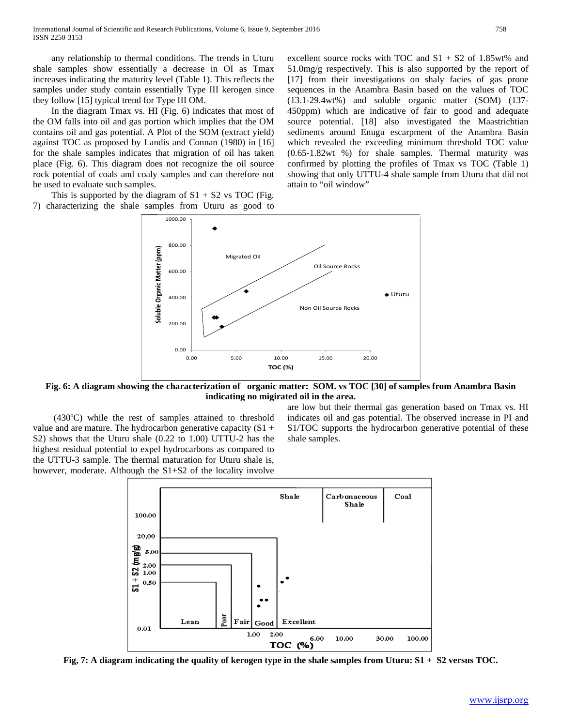any relationship to thermal conditions. The trends in Uturu shale samples show essentially a decrease in OI as Tmax increases indicating the maturity level (Table 1). This reflects the samples under study contain essentially Type III kerogen since they follow [15] typical trend for Type III OM.

 In the diagram Tmax vs. HI (Fig. 6) indicates that most of the OM falls into oil and gas portion which implies that the OM contains oil and gas potential. A Plot of the SOM (extract yield) against TOC as proposed by Landis and Connan (1980) in [16] for the shale samples indicates that migration of oil has taken place (Fig. 6). This diagram does not recognize the oil source rock potential of coals and coaly samples and can therefore not be used to evaluate such samples.

This is supported by the diagram of  $S1 + S2$  vs TOC (Fig. 7) characterizing the shale samples from Uturu as good to excellent source rocks with TOC and S1 + S2 of 1.85wt% and 51.0mg/g respectively. This is also supported by the report of [17] from their investigations on shaly facies of gas prone sequences in the Anambra Basin based on the values of TOC (13.1-29.4wt%) and soluble organic matter (SOM) (137- 450ppm) which are indicative of fair to good and adequate source potential. [18] also investigated the Maastrichtian sediments around Enugu escarpment of the Anambra Basin which revealed the exceeding minimum threshold TOC value (0.65-1.82wt %) for shale samples. Thermal maturity was confirmed by plotting the profiles of Tmax vs TOC (Table 1) showing that only UTTU-4 shale sample from Uturu that did not attain to "oil window"



**Fig. 6: A diagram showing the characterization of organic matter: SOM. vs TOC [30] of samples from Anambra Basin indicating no migirated oil in the area.**

 (430ºC) while the rest of samples attained to threshold value and are mature. The hydrocarbon generative capacity  $(S1 +$ S2) shows that the Uturu shale (0.22 to 1.00) UTTU-2 has the highest residual potential to expel hydrocarbons as compared to the UTTU-3 sample. The thermal maturation for Uturu shale is, however, moderate. Although the S1+S2 of the locality involve are low but their thermal gas generation based on Tmax vs. HI indicates oil and gas potential. The observed increase in PI and S1/TOC supports the hydrocarbon generative potential of these shale samples.



**Fig, 7: A diagram indicating the quality of kerogen type in the shale samples from Uturu: S1 + S2 versus TOC.**